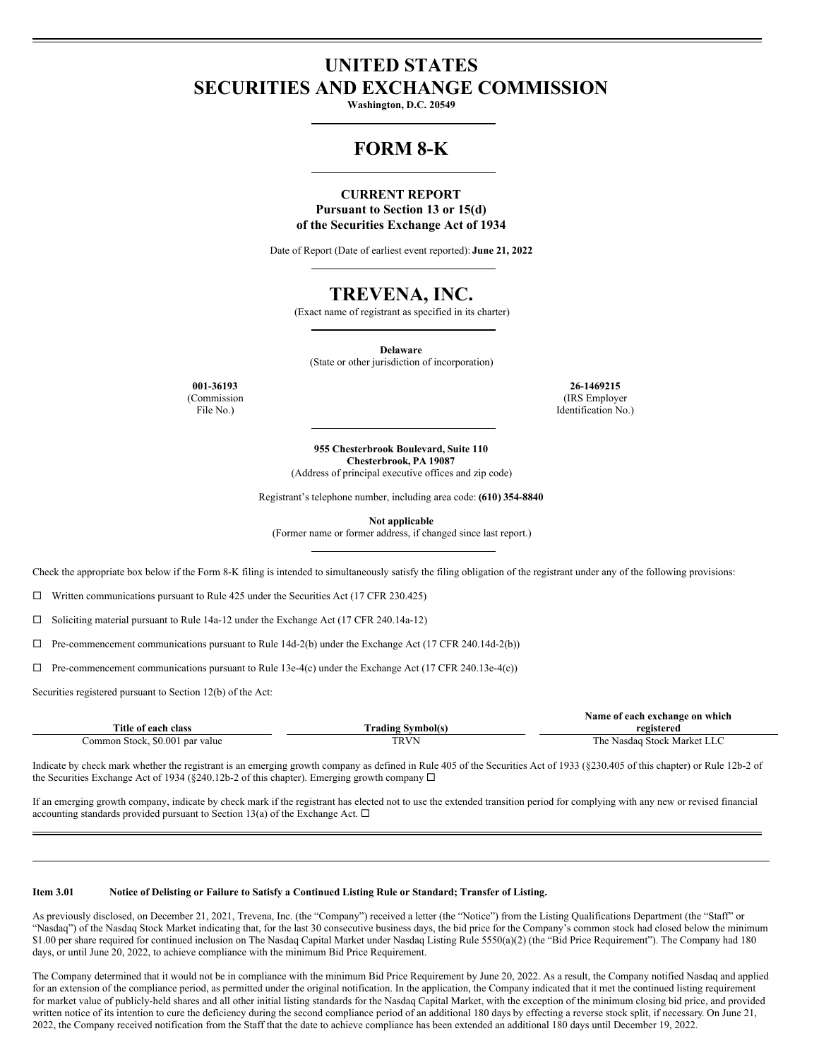# **UNITED STATES SECURITIES AND EXCHANGE COMMISSION**

**Washington, D.C. 20549**

# **FORM 8-K**

### **CURRENT REPORT Pursuant to Section 13 or 15(d)**

**of the Securities Exchange Act of 1934**

Date of Report (Date of earliest event reported): **June 21, 2022**

## **TREVENA, INC.**

(Exact name of registrant as specified in its charter)

**Delaware** (State or other jurisdiction of incorporation)

(Commission File No.)

**001-36193 26-1469215** (IRS Employer Identification No.)

> **955 Chesterbrook Boulevard, Suite 110 Chesterbrook, PA 19087**

(Address of principal executive offices and zip code)

Registrant's telephone number, including area code: **(610) 354-8840**

**Not applicable**

(Former name or former address, if changed since last report.)

Check the appropriate box below if the Form 8-K filing is intended to simultaneously satisfy the filing obligation of the registrant under any of the following provisions:

 $\Box$  Written communications pursuant to Rule 425 under the Securities Act (17 CFR 230.425)

¨ Soliciting material pursuant to Rule 14a-12 under the Exchange Act (17 CFR 240.14a-12)

 $\Box$  Pre-commencement communications pursuant to Rule 14d-2(b) under the Exchange Act (17 CFR 240.14d-2(b))

 $\Box$  Pre-commencement communications pursuant to Rule 13e-4(c) under the Exchange Act (17 CFR 240.13e-4(c))

Securities registered pursuant to Section 12(b) of the Act:

|                                 |                          | Name of each exchange on which |
|---------------------------------|--------------------------|--------------------------------|
| Title of each class             | <b>Trading Symbol(s)</b> | registered                     |
| Common Stock, \$0.001 par value | TRVN                     | The Nasdaq Stock Market LLC    |

Indicate by check mark whether the registrant is an emerging growth company as defined in Rule 405 of the Securities Act of 1933 (§230.405 of this chapter) or Rule 12b-2 of the Securities Exchange Act of 1934 (§240.12b-2 of this chapter). Emerging growth company  $\Box$ 

If an emerging growth company, indicate by check mark if the registrant has elected not to use the extended transition period for complying with any new or revised financial accounting standards provided pursuant to Section 13(a) of the Exchange Act.  $\Box$ 

#### Item 3.01 Notice of Delisting or Failure to Satisfy a Continued Listing Rule or Standard; Transfer of Listing.

As previously disclosed, on December 21, 2021, Trevena, Inc. (the "Company") received a letter (the "Notice") from the Listing Qualifications Department (the "Staff" or "Nasdaq") of the Nasdaq Stock Market indicating that, for the last 30 consecutive business days, the bid price for the Company's common stock had closed below the minimum \$1.00 per share required for continued inclusion on The Nasdaq Capital Market under Nasdaq Listing Rule 5550(a)(2) (the "Bid Price Requirement"). The Company had 180 days, or until June 20, 2022, to achieve compliance with the minimum Bid Price Requirement.

The Company determined that it would not be in compliance with the minimum Bid Price Requirement by June 20, 2022. As a result, the Company notified Nasdaq and applied for an extension of the compliance period, as permitted under the original notification. In the application, the Company indicated that it met the continued listing requirement for market value of publicly-held shares and all other initial listing standards for the Nasdaq Capital Market, with the exception of the minimum closing bid price, and provided written notice of its intention to cure the deficiency during the second compliance period of an additional 180 days by effecting a reverse stock split, if necessary. On June 21, 2022, the Company received notification from the Staff that the date to achieve compliance has been extended an additional 180 days until December 19, 2022.